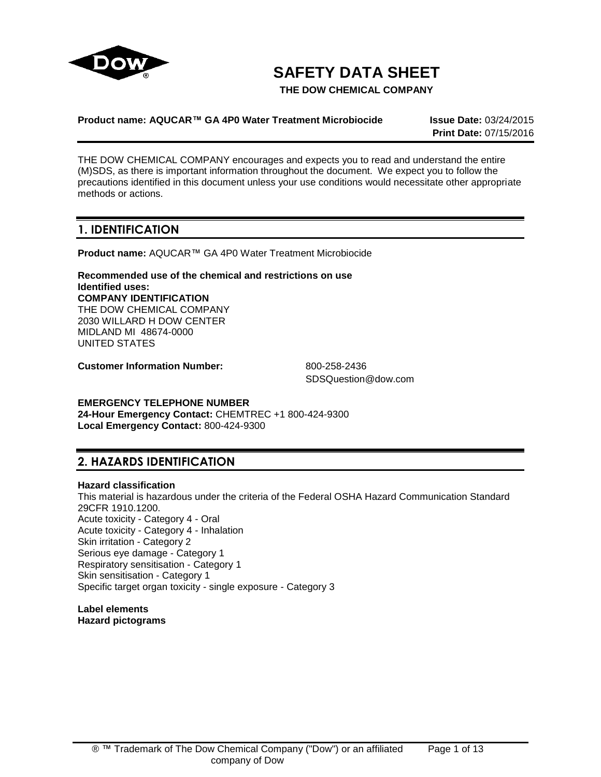

# **SAFETY DATA SHEET**

**THE DOW CHEMICAL COMPANY**

# **Product name: AQUCAR™ GA 4P0 Water Treatment Microbiocide Issue Date:** 03/24/2015

**Print Date:** 07/15/2016

THE DOW CHEMICAL COMPANY encourages and expects you to read and understand the entire (M)SDS, as there is important information throughout the document. We expect you to follow the precautions identified in this document unless your use conditions would necessitate other appropriate methods or actions.

# **1. IDENTIFICATION**

**Product name:** AQUCAR™ GA 4P0 Water Treatment Microbiocide

**Recommended use of the chemical and restrictions on use Identified uses: COMPANY IDENTIFICATION** THE DOW CHEMICAL COMPANY 2030 WILLARD H DOW CENTER MIDLAND MI 48674-0000 UNITED STATES

**Customer Information Number:** 800-258-2436

SDSQuestion@dow.com

# **EMERGENCY TELEPHONE NUMBER**

**24-Hour Emergency Contact:** CHEMTREC +1 800-424-9300 **Local Emergency Contact:** 800-424-9300

# **2. HAZARDS IDENTIFICATION**

# **Hazard classification**

This material is hazardous under the criteria of the Federal OSHA Hazard Communication Standard 29CFR 1910.1200. Acute toxicity - Category 4 - Oral Acute toxicity - Category 4 - Inhalation Skin irritation - Category 2 Serious eye damage - Category 1 Respiratory sensitisation - Category 1 Skin sensitisation - Category 1 Specific target organ toxicity - single exposure - Category 3

**Label elements Hazard pictograms**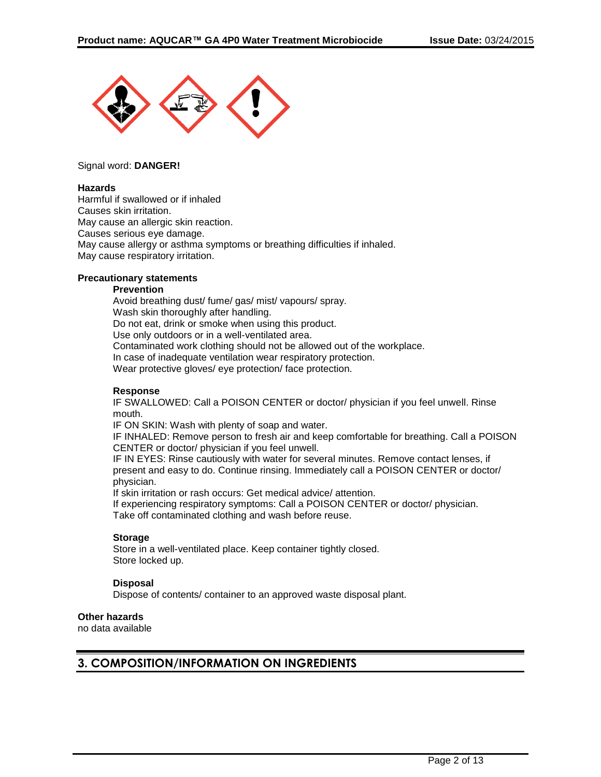

### Signal word: **DANGER!**

#### **Hazards**

Harmful if swallowed or if inhaled Causes skin irritation. May cause an allergic skin reaction. Causes serious eye damage. May cause allergy or asthma symptoms or breathing difficulties if inhaled. May cause respiratory irritation.

# **Precautionary statements**

#### **Prevention**

Avoid breathing dust/ fume/ gas/ mist/ vapours/ spray. Wash skin thoroughly after handling. Do not eat, drink or smoke when using this product. Use only outdoors or in a well-ventilated area. Contaminated work clothing should not be allowed out of the workplace. In case of inadequate ventilation wear respiratory protection. Wear protective gloves/ eye protection/ face protection.

#### **Response**

IF SWALLOWED: Call a POISON CENTER or doctor/ physician if you feel unwell. Rinse mouth.

IF ON SKIN: Wash with plenty of soap and water.

IF INHALED: Remove person to fresh air and keep comfortable for breathing. Call a POISON CENTER or doctor/ physician if you feel unwell.

IF IN EYES: Rinse cautiously with water for several minutes. Remove contact lenses, if present and easy to do. Continue rinsing. Immediately call a POISON CENTER or doctor/ physician.

If skin irritation or rash occurs: Get medical advice/ attention.

If experiencing respiratory symptoms: Call a POISON CENTER or doctor/ physician. Take off contaminated clothing and wash before reuse.

# **Storage**

Store in a well-ventilated place. Keep container tightly closed. Store locked up.

# **Disposal**

Dispose of contents/ container to an approved waste disposal plant.

# **Other hazards**

no data available

# **3. COMPOSITION/INFORMATION ON INGREDIENTS**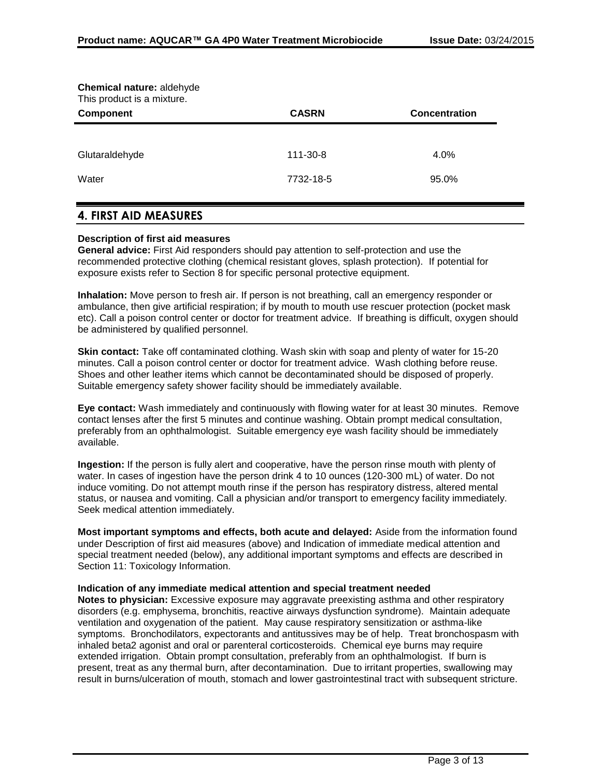| Chemical nature: aldehyde<br>This product is a mixture. |              |                      |
|---------------------------------------------------------|--------------|----------------------|
| <b>Component</b>                                        | <b>CASRN</b> | <b>Concentration</b> |
|                                                         |              |                      |
| Glutaraldehyde                                          | 111-30-8     | 4.0%                 |
| Water                                                   | 7732-18-5    | 95.0%                |

# **4. FIRST AID MEASURES**

# **Description of first aid measures**

**General advice:** First Aid responders should pay attention to self-protection and use the recommended protective clothing (chemical resistant gloves, splash protection). If potential for exposure exists refer to Section 8 for specific personal protective equipment.

**Inhalation:** Move person to fresh air. If person is not breathing, call an emergency responder or ambulance, then give artificial respiration; if by mouth to mouth use rescuer protection (pocket mask etc). Call a poison control center or doctor for treatment advice. If breathing is difficult, oxygen should be administered by qualified personnel.

**Skin contact:** Take off contaminated clothing. Wash skin with soap and plenty of water for 15-20 minutes. Call a poison control center or doctor for treatment advice. Wash clothing before reuse. Shoes and other leather items which cannot be decontaminated should be disposed of properly. Suitable emergency safety shower facility should be immediately available.

**Eye contact:** Wash immediately and continuously with flowing water for at least 30 minutes. Remove contact lenses after the first 5 minutes and continue washing. Obtain prompt medical consultation, preferably from an ophthalmologist. Suitable emergency eye wash facility should be immediately available.

**Ingestion:** If the person is fully alert and cooperative, have the person rinse mouth with plenty of water. In cases of ingestion have the person drink 4 to 10 ounces (120-300 mL) of water. Do not induce vomiting. Do not attempt mouth rinse if the person has respiratory distress, altered mental status, or nausea and vomiting. Call a physician and/or transport to emergency facility immediately. Seek medical attention immediately.

**Most important symptoms and effects, both acute and delayed:** Aside from the information found under Description of first aid measures (above) and Indication of immediate medical attention and special treatment needed (below), any additional important symptoms and effects are described in Section 11: Toxicology Information.

# **Indication of any immediate medical attention and special treatment needed**

**Notes to physician:** Excessive exposure may aggravate preexisting asthma and other respiratory disorders (e.g. emphysema, bronchitis, reactive airways dysfunction syndrome). Maintain adequate ventilation and oxygenation of the patient. May cause respiratory sensitization or asthma-like symptoms. Bronchodilators, expectorants and antitussives may be of help. Treat bronchospasm with inhaled beta2 agonist and oral or parenteral corticosteroids. Chemical eye burns may require extended irrigation. Obtain prompt consultation, preferably from an ophthalmologist. If burn is present, treat as any thermal burn, after decontamination. Due to irritant properties, swallowing may result in burns/ulceration of mouth, stomach and lower gastrointestinal tract with subsequent stricture.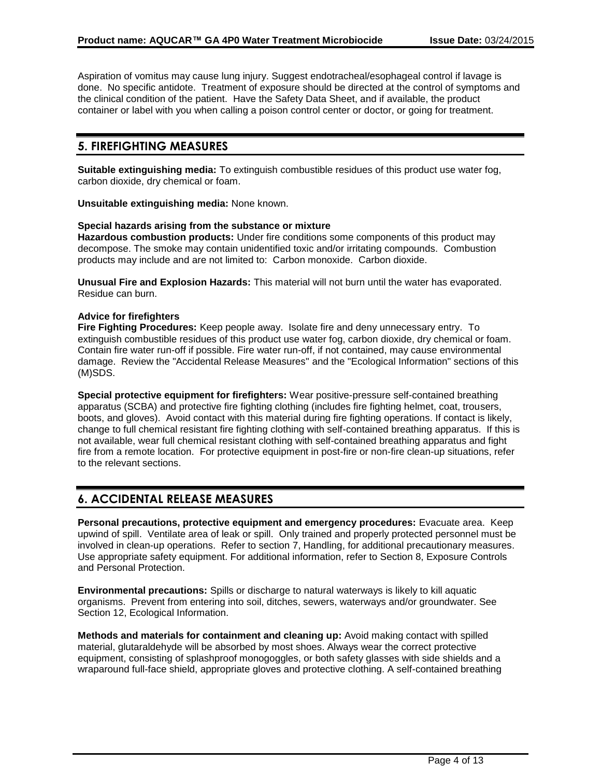Aspiration of vomitus may cause lung injury. Suggest endotracheal/esophageal control if lavage is done. No specific antidote. Treatment of exposure should be directed at the control of symptoms and the clinical condition of the patient. Have the Safety Data Sheet, and if available, the product container or label with you when calling a poison control center or doctor, or going for treatment.

# **5. FIREFIGHTING MEASURES**

**Suitable extinguishing media:** To extinguish combustible residues of this product use water fog, carbon dioxide, dry chemical or foam.

**Unsuitable extinguishing media:** None known.

#### **Special hazards arising from the substance or mixture**

**Hazardous combustion products:** Under fire conditions some components of this product may decompose. The smoke may contain unidentified toxic and/or irritating compounds. Combustion products may include and are not limited to: Carbon monoxide. Carbon dioxide.

**Unusual Fire and Explosion Hazards:** This material will not burn until the water has evaporated. Residue can burn.

# **Advice for firefighters**

**Fire Fighting Procedures:** Keep people away. Isolate fire and deny unnecessary entry. To extinguish combustible residues of this product use water fog, carbon dioxide, dry chemical or foam. Contain fire water run-off if possible. Fire water run-off, if not contained, may cause environmental damage. Review the "Accidental Release Measures" and the "Ecological Information" sections of this (M)SDS.

**Special protective equipment for firefighters:** Wear positive-pressure self-contained breathing apparatus (SCBA) and protective fire fighting clothing (includes fire fighting helmet, coat, trousers, boots, and gloves). Avoid contact with this material during fire fighting operations. If contact is likely, change to full chemical resistant fire fighting clothing with self-contained breathing apparatus. If this is not available, wear full chemical resistant clothing with self-contained breathing apparatus and fight fire from a remote location. For protective equipment in post-fire or non-fire clean-up situations, refer to the relevant sections.

# **6. ACCIDENTAL RELEASE MEASURES**

**Personal precautions, protective equipment and emergency procedures:** Evacuate area. Keep upwind of spill. Ventilate area of leak or spill. Only trained and properly protected personnel must be involved in clean-up operations. Refer to section 7, Handling, for additional precautionary measures. Use appropriate safety equipment. For additional information, refer to Section 8, Exposure Controls and Personal Protection.

**Environmental precautions:** Spills or discharge to natural waterways is likely to kill aquatic organisms. Prevent from entering into soil, ditches, sewers, waterways and/or groundwater. See Section 12, Ecological Information.

**Methods and materials for containment and cleaning up:** Avoid making contact with spilled material, glutaraldehyde will be absorbed by most shoes. Always wear the correct protective equipment, consisting of splashproof monogoggles, or both safety glasses with side shields and a wraparound full-face shield, appropriate gloves and protective clothing. A self-contained breathing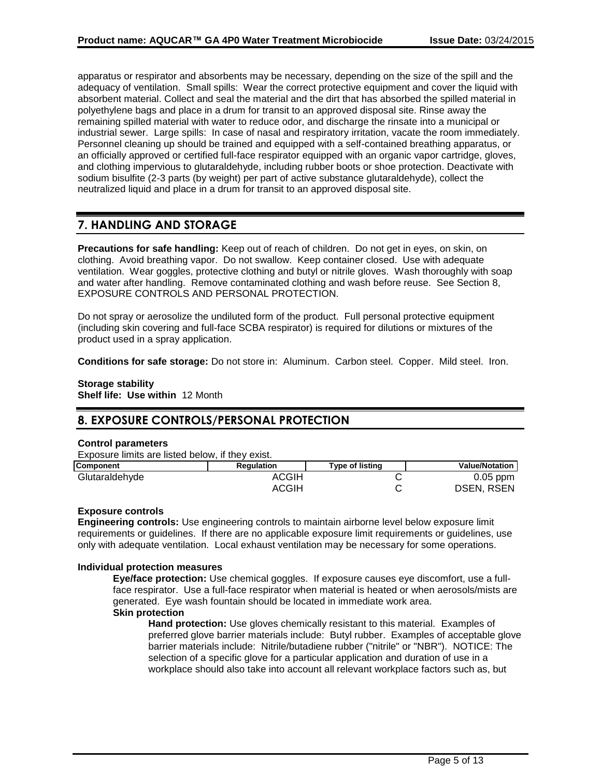apparatus or respirator and absorbents may be necessary, depending on the size of the spill and the adequacy of ventilation. Small spills: Wear the correct protective equipment and cover the liquid with absorbent material. Collect and seal the material and the dirt that has absorbed the spilled material in polyethylene bags and place in a drum for transit to an approved disposal site. Rinse away the remaining spilled material with water to reduce odor, and discharge the rinsate into a municipal or industrial sewer. Large spills: In case of nasal and respiratory irritation, vacate the room immediately. Personnel cleaning up should be trained and equipped with a self-contained breathing apparatus, or an officially approved or certified full-face respirator equipped with an organic vapor cartridge, gloves, and clothing impervious to glutaraldehyde, including rubber boots or shoe protection. Deactivate with sodium bisulfite (2-3 parts (by weight) per part of active substance glutaraldehyde), collect the neutralized liquid and place in a drum for transit to an approved disposal site.

# **7. HANDLING AND STORAGE**

**Precautions for safe handling:** Keep out of reach of children. Do not get in eyes, on skin, on clothing. Avoid breathing vapor. Do not swallow. Keep container closed. Use with adequate ventilation. Wear goggles, protective clothing and butyl or nitrile gloves. Wash thoroughly with soap and water after handling. Remove contaminated clothing and wash before reuse. See Section 8, EXPOSURE CONTROLS AND PERSONAL PROTECTION.

Do not spray or aerosolize the undiluted form of the product. Full personal protective equipment (including skin covering and full-face SCBA respirator) is required for dilutions or mixtures of the product used in a spray application.

**Conditions for safe storage:** Do not store in: Aluminum. Carbon steel. Copper. Mild steel. Iron.

# **Storage stability**

**Shelf life: Use within** 12 Month

# **8. EXPOSURE CONTROLS/PERSONAL PROTECTION**

# **Control parameters**

Exposure limits are listed below, if they exist.

| <b>Component</b> | <b>Regulation</b> | Type of listing | <b>Value/Notation</b> |
|------------------|-------------------|-----------------|-----------------------|
| Glutaraldehyde   | ACGIH             |                 | $0.05$ ppm            |
|                  | ACGIH             |                 | <b>DSEN, RSEN</b>     |

# **Exposure controls**

**Engineering controls:** Use engineering controls to maintain airborne level below exposure limit requirements or guidelines. If there are no applicable exposure limit requirements or guidelines, use only with adequate ventilation. Local exhaust ventilation may be necessary for some operations.

# **Individual protection measures**

**Eye/face protection:** Use chemical goggles. If exposure causes eye discomfort, use a fullface respirator. Use a full-face respirator when material is heated or when aerosols/mists are generated. Eye wash fountain should be located in immediate work area. **Skin protection**

**Hand protection:** Use gloves chemically resistant to this material. Examples of preferred glove barrier materials include: Butyl rubber. Examples of acceptable glove barrier materials include: Nitrile/butadiene rubber ("nitrile" or "NBR"). NOTICE: The selection of a specific glove for a particular application and duration of use in a workplace should also take into account all relevant workplace factors such as, but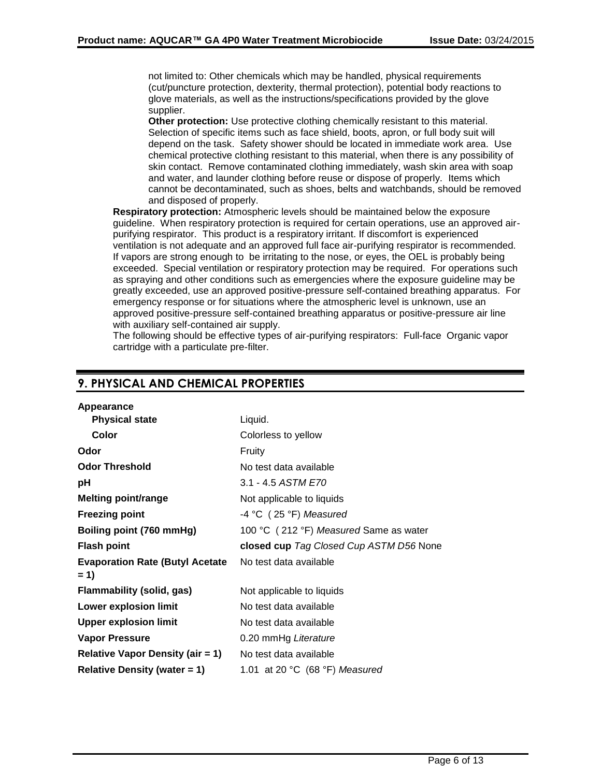not limited to: Other chemicals which may be handled, physical requirements (cut/puncture protection, dexterity, thermal protection), potential body reactions to glove materials, as well as the instructions/specifications provided by the glove supplier.

**Other protection:** Use protective clothing chemically resistant to this material. Selection of specific items such as face shield, boots, apron, or full body suit will depend on the task. Safety shower should be located in immediate work area. Use chemical protective clothing resistant to this material, when there is any possibility of skin contact. Remove contaminated clothing immediately, wash skin area with soap and water, and launder clothing before reuse or dispose of properly. Items which cannot be decontaminated, such as shoes, belts and watchbands, should be removed and disposed of properly.

**Respiratory protection:** Atmospheric levels should be maintained below the exposure guideline. When respiratory protection is required for certain operations, use an approved airpurifying respirator. This product is a respiratory irritant. If discomfort is experienced ventilation is not adequate and an approved full face air-purifying respirator is recommended. If vapors are strong enough to be irritating to the nose, or eyes, the OEL is probably being exceeded. Special ventilation or respiratory protection may be required. For operations such as spraying and other conditions such as emergencies where the exposure guideline may be greatly exceeded, use an approved positive-pressure self-contained breathing apparatus. For emergency response or for situations where the atmospheric level is unknown, use an approved positive-pressure self-contained breathing apparatus or positive-pressure air line with auxiliary self-contained air supply.

The following should be effective types of air-purifying respirators: Full-face Organic vapor cartridge with a particulate pre-filter.

| Appearance                              |                                         |
|-----------------------------------------|-----------------------------------------|
| <b>Physical state</b>                   | Liquid.                                 |
| Color                                   | Colorless to yellow                     |
| Odor                                    | Fruity                                  |
| <b>Odor Threshold</b>                   | No test data available                  |
| рH                                      | 3.1 - 4.5 ASTM E70                      |
| <b>Melting point/range</b>              | Not applicable to liquids               |
| <b>Freezing point</b>                   | $-4$ °C (25 °F) Measured                |
| Boiling point (760 mmHg)                | 100 °C (212 °F) Measured Same as water  |
|                                         |                                         |
| <b>Flash point</b>                      | closed cup Tag Closed Cup ASTM D56 None |
| <b>Evaporation Rate (Butyl Acetate</b>  | No test data available                  |
| $= 1$                                   |                                         |
| Flammability (solid, gas)               | Not applicable to liquids               |
| <b>Lower explosion limit</b>            | No test data available                  |
| <b>Upper explosion limit</b>            | No test data available                  |
| Vapor Pressure                          | 0.20 mmHg Literature                    |
| <b>Relative Vapor Density (air = 1)</b> | No test data available                  |
| <b>Relative Density (water = 1)</b>     | 1.01 at 20 $°C$ (68 $°F$ ) Measured     |

# **9. PHYSICAL AND CHEMICAL PROPERTIES**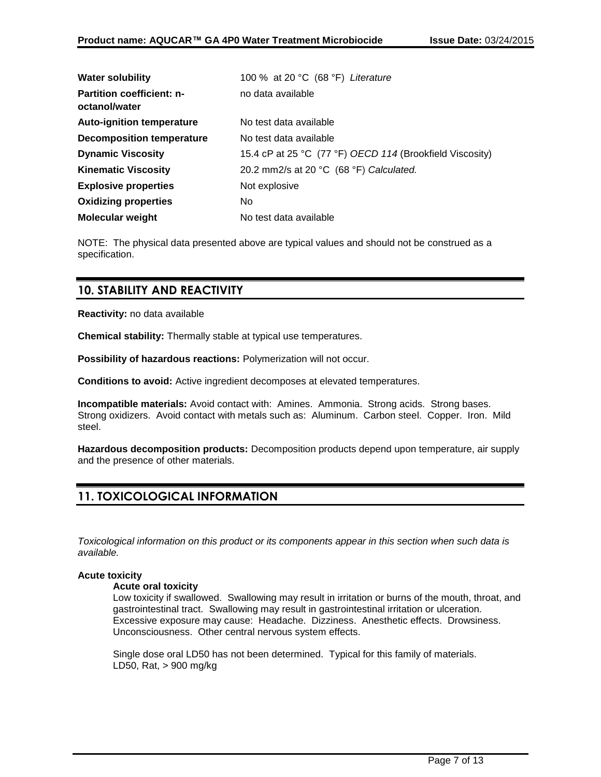| <b>Water solubility</b>                           | 100 % at 20 °C (68 °F) Literature                        |
|---------------------------------------------------|----------------------------------------------------------|
| <b>Partition coefficient: n-</b><br>octanol/water | no data available                                        |
| <b>Auto-ignition temperature</b>                  | No test data available                                   |
| <b>Decomposition temperature</b>                  | No test data available                                   |
| <b>Dynamic Viscosity</b>                          | 15.4 cP at 25 °C (77 °F) OECD 114 (Brookfield Viscosity) |
| <b>Kinematic Viscosity</b>                        | 20.2 mm2/s at 20 $°C$ (68 $°F$ ) Calculated.             |
| <b>Explosive properties</b>                       | Not explosive                                            |
| <b>Oxidizing properties</b>                       | No.                                                      |
| <b>Molecular weight</b>                           | No test data available                                   |

NOTE: The physical data presented above are typical values and should not be construed as a specification.

# **10. STABILITY AND REACTIVITY**

**Reactivity:** no data available

**Chemical stability:** Thermally stable at typical use temperatures.

**Possibility of hazardous reactions:** Polymerization will not occur.

**Conditions to avoid:** Active ingredient decomposes at elevated temperatures.

**Incompatible materials:** Avoid contact with: Amines. Ammonia. Strong acids. Strong bases. Strong oxidizers. Avoid contact with metals such as: Aluminum. Carbon steel. Copper. Iron. Mild steel.

**Hazardous decomposition products:** Decomposition products depend upon temperature, air supply and the presence of other materials.

# **11. TOXICOLOGICAL INFORMATION**

*Toxicological information on this product or its components appear in this section when such data is available.*

# **Acute toxicity**

# **Acute oral toxicity**

Low toxicity if swallowed. Swallowing may result in irritation or burns of the mouth, throat, and gastrointestinal tract. Swallowing may result in gastrointestinal irritation or ulceration. Excessive exposure may cause: Headache. Dizziness. Anesthetic effects. Drowsiness. Unconsciousness. Other central nervous system effects.

Single dose oral LD50 has not been determined. Typical for this family of materials. LD50, Rat, > 900 mg/kg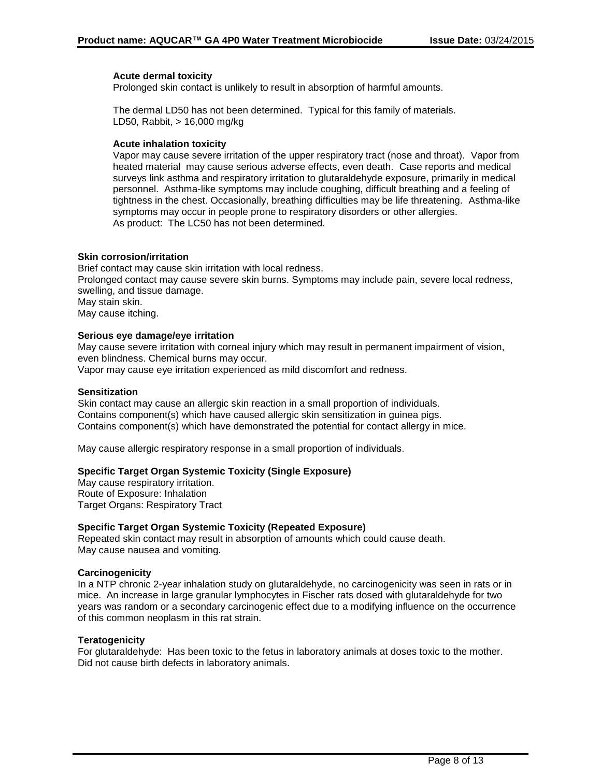# **Acute dermal toxicity**

Prolonged skin contact is unlikely to result in absorption of harmful amounts.

The dermal LD50 has not been determined. Typical for this family of materials. LD50, Rabbit, > 16,000 mg/kg

# **Acute inhalation toxicity**

Vapor may cause severe irritation of the upper respiratory tract (nose and throat). Vapor from heated material may cause serious adverse effects, even death. Case reports and medical surveys link asthma and respiratory irritation to glutaraldehyde exposure, primarily in medical personnel. Asthma-like symptoms may include coughing, difficult breathing and a feeling of tightness in the chest. Occasionally, breathing difficulties may be life threatening. Asthma-like symptoms may occur in people prone to respiratory disorders or other allergies. As product: The LC50 has not been determined.

# **Skin corrosion/irritation**

Brief contact may cause skin irritation with local redness. Prolonged contact may cause severe skin burns. Symptoms may include pain, severe local redness, swelling, and tissue damage. May stain skin. May cause itching.

#### **Serious eye damage/eye irritation**

May cause severe irritation with corneal injury which may result in permanent impairment of vision, even blindness. Chemical burns may occur.

Vapor may cause eye irritation experienced as mild discomfort and redness.

#### **Sensitization**

Skin contact may cause an allergic skin reaction in a small proportion of individuals. Contains component(s) which have caused allergic skin sensitization in guinea pigs. Contains component(s) which have demonstrated the potential for contact allergy in mice.

May cause allergic respiratory response in a small proportion of individuals.

# **Specific Target Organ Systemic Toxicity (Single Exposure)**

May cause respiratory irritation. Route of Exposure: Inhalation Target Organs: Respiratory Tract

# **Specific Target Organ Systemic Toxicity (Repeated Exposure)**

Repeated skin contact may result in absorption of amounts which could cause death. May cause nausea and vomiting.

# **Carcinogenicity**

In a NTP chronic 2-year inhalation study on glutaraldehyde, no carcinogenicity was seen in rats or in mice. An increase in large granular lymphocytes in Fischer rats dosed with glutaraldehyde for two years was random or a secondary carcinogenic effect due to a modifying influence on the occurrence of this common neoplasm in this rat strain.

# **Teratogenicity**

For glutaraldehyde: Has been toxic to the fetus in laboratory animals at doses toxic to the mother. Did not cause birth defects in laboratory animals.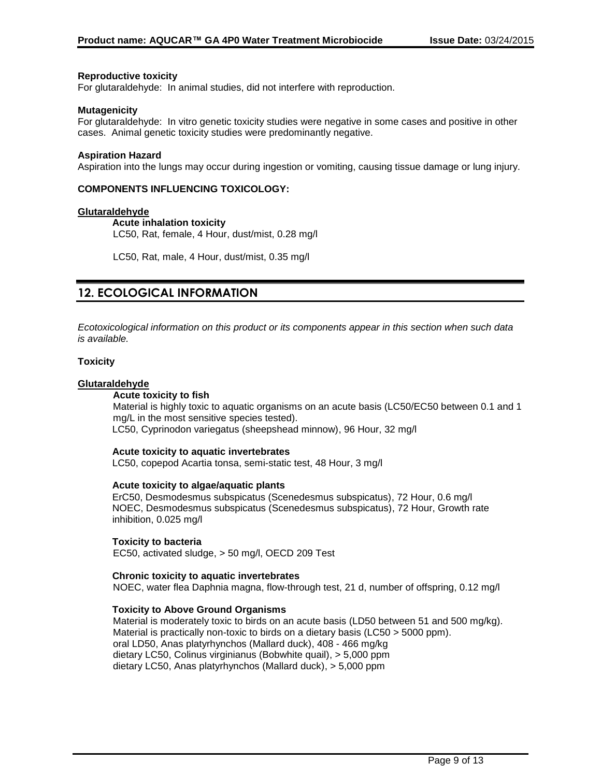# **Reproductive toxicity**

For glutaraldehyde: In animal studies, did not interfere with reproduction.

### **Mutagenicity**

For glutaraldehyde: In vitro genetic toxicity studies were negative in some cases and positive in other cases. Animal genetic toxicity studies were predominantly negative.

#### **Aspiration Hazard**

Aspiration into the lungs may occur during ingestion or vomiting, causing tissue damage or lung injury.

# **COMPONENTS INFLUENCING TOXICOLOGY:**

#### **Glutaraldehyde**

#### **Acute inhalation toxicity**

LC50, Rat, female, 4 Hour, dust/mist, 0.28 mg/l

LC50, Rat, male, 4 Hour, dust/mist, 0.35 mg/l

# **12. ECOLOGICAL INFORMATION**

*Ecotoxicological information on this product or its components appear in this section when such data is available.*

### **Toxicity**

# **Glutaraldehyde**

# **Acute toxicity to fish**

Material is highly toxic to aquatic organisms on an acute basis (LC50/EC50 between 0.1 and 1 mg/L in the most sensitive species tested). LC50, Cyprinodon variegatus (sheepshead minnow), 96 Hour, 32 mg/l

# **Acute toxicity to aquatic invertebrates**

LC50, copepod Acartia tonsa, semi-static test, 48 Hour, 3 mg/l

# **Acute toxicity to algae/aquatic plants**

ErC50, Desmodesmus subspicatus (Scenedesmus subspicatus), 72 Hour, 0.6 mg/l NOEC, Desmodesmus subspicatus (Scenedesmus subspicatus), 72 Hour, Growth rate inhibition, 0.025 mg/l

# **Toxicity to bacteria**

EC50, activated sludge, > 50 mg/l, OECD 209 Test

# **Chronic toxicity to aquatic invertebrates**

NOEC, water flea Daphnia magna, flow-through test, 21 d, number of offspring, 0.12 mg/l

# **Toxicity to Above Ground Organisms**

Material is moderately toxic to birds on an acute basis (LD50 between 51 and 500 mg/kg). Material is practically non-toxic to birds on a dietary basis (LC50 > 5000 ppm). oral LD50, Anas platyrhynchos (Mallard duck), 408 - 466 mg/kg dietary LC50, Colinus virginianus (Bobwhite quail), > 5,000 ppm dietary LC50, Anas platyrhynchos (Mallard duck), > 5,000 ppm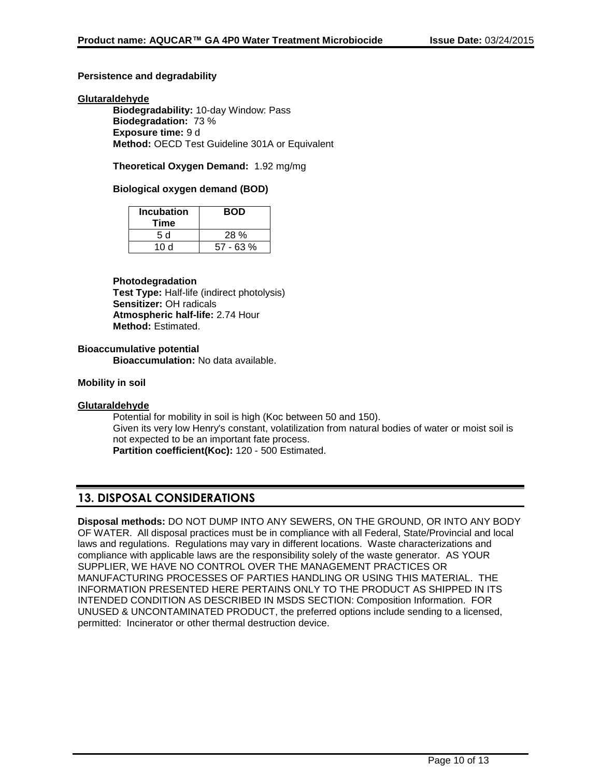# **Persistence and degradability**

# **Glutaraldehyde**

**Biodegradability:** 10-day Window: Pass **Biodegradation:** 73 % **Exposure time:** 9 d **Method:** OECD Test Guideline 301A or Equivalent

**Theoretical Oxygen Demand:** 1.92 mg/mg

# **Biological oxygen demand (BOD)**

| <b>Incubation</b><br>Time | <b>BOD</b>  |
|---------------------------|-------------|
| 5 d                       | $28\%$      |
| 10 d                      | $57 - 63 %$ |

# **Photodegradation**

**Test Type:** Half-life (indirect photolysis) **Sensitizer:** OH radicals **Atmospheric half-life:** 2.74 Hour **Method:** Estimated.

# **Bioaccumulative potential**

**Bioaccumulation:** No data available.

# **Mobility in soil**

# **Glutaraldehyde**

Potential for mobility in soil is high (Koc between 50 and 150). Given its very low Henry's constant, volatilization from natural bodies of water or moist soil is not expected to be an important fate process. **Partition coefficient(Koc):** 120 - 500 Estimated.

# **13. DISPOSAL CONSIDERATIONS**

**Disposal methods:** DO NOT DUMP INTO ANY SEWERS, ON THE GROUND, OR INTO ANY BODY OF WATER. All disposal practices must be in compliance with all Federal, State/Provincial and local laws and regulations. Regulations may vary in different locations. Waste characterizations and compliance with applicable laws are the responsibility solely of the waste generator. AS YOUR SUPPLIER, WE HAVE NO CONTROL OVER THE MANAGEMENT PRACTICES OR MANUFACTURING PROCESSES OF PARTIES HANDLING OR USING THIS MATERIAL. THE INFORMATION PRESENTED HERE PERTAINS ONLY TO THE PRODUCT AS SHIPPED IN ITS INTENDED CONDITION AS DESCRIBED IN MSDS SECTION: Composition Information. FOR UNUSED & UNCONTAMINATED PRODUCT, the preferred options include sending to a licensed, permitted: Incinerator or other thermal destruction device.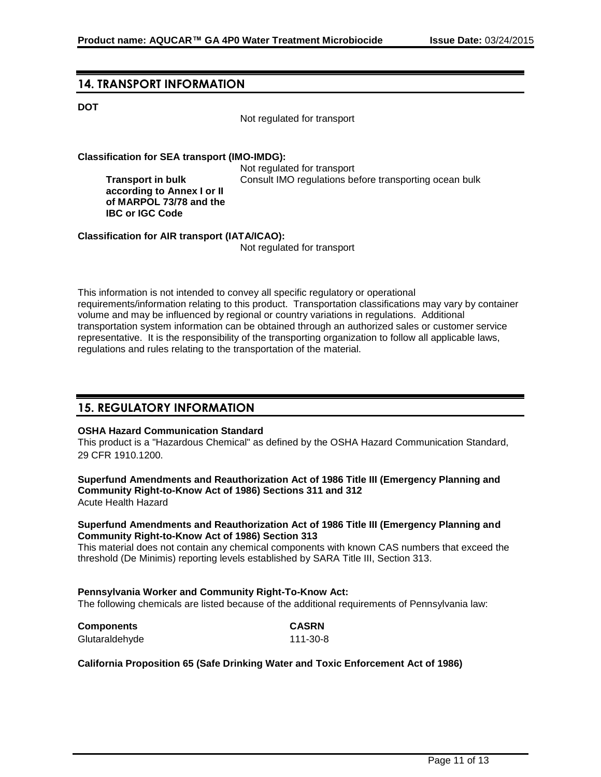# **14. TRANSPORT INFORMATION**

**Transport in bulk** 

**IBC or IGC Code**

# **DOT**

Not regulated for transport

# **Classification for SEA transport (IMO-IMDG):**

Not regulated for transport **according to Annex I or II of MARPOL 73/78 and the**  Consult IMO regulations before transporting ocean bulk

**Classification for AIR transport (IATA/ICAO):**

Not regulated for transport

This information is not intended to convey all specific regulatory or operational requirements/information relating to this product. Transportation classifications may vary by container volume and may be influenced by regional or country variations in regulations. Additional transportation system information can be obtained through an authorized sales or customer service representative. It is the responsibility of the transporting organization to follow all applicable laws, regulations and rules relating to the transportation of the material.

# **15. REGULATORY INFORMATION**

# **OSHA Hazard Communication Standard**

This product is a "Hazardous Chemical" as defined by the OSHA Hazard Communication Standard, 29 CFR 1910.1200.

**Superfund Amendments and Reauthorization Act of 1986 Title III (Emergency Planning and Community Right-to-Know Act of 1986) Sections 311 and 312** Acute Health Hazard

#### **Superfund Amendments and Reauthorization Act of 1986 Title III (Emergency Planning and Community Right-to-Know Act of 1986) Section 313**

This material does not contain any chemical components with known CAS numbers that exceed the threshold (De Minimis) reporting levels established by SARA Title III, Section 313.

111-30-8

# **Pennsylvania Worker and Community Right-To-Know Act:**

The following chemicals are listed because of the additional requirements of Pennsylvania law:

| <b>Components</b> | <b>CASRN</b> |
|-------------------|--------------|
| Glutaraldehyde    | 111-30-8     |

# **California Proposition 65 (Safe Drinking Water and Toxic Enforcement Act of 1986)**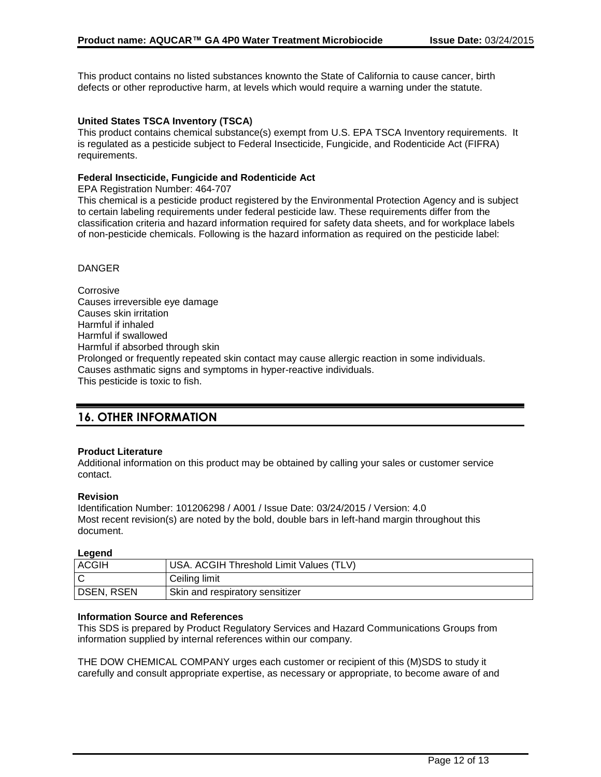This product contains no listed substances knownto the State of California to cause cancer, birth defects or other reproductive harm, at levels which would require a warning under the statute.

# **United States TSCA Inventory (TSCA)**

This product contains chemical substance(s) exempt from U.S. EPA TSCA Inventory requirements. It is regulated as a pesticide subject to Federal Insecticide, Fungicide, and Rodenticide Act (FIFRA) requirements.

# **Federal Insecticide, Fungicide and Rodenticide Act**

EPA Registration Number: 464-707

This chemical is a pesticide product registered by the Environmental Protection Agency and is subject to certain labeling requirements under federal pesticide law. These requirements differ from the classification criteria and hazard information required for safety data sheets, and for workplace labels of non-pesticide chemicals. Following is the hazard information as required on the pesticide label:

# DANGER

**Corrosive** Causes irreversible eye damage Causes skin irritation Harmful if inhaled Harmful if swallowed Harmful if absorbed through skin Prolonged or frequently repeated skin contact may cause allergic reaction in some individuals. Causes asthmatic signs and symptoms in hyper-reactive individuals. This pesticide is toxic to fish.

# **16. OTHER INFORMATION**

# **Product Literature**

Additional information on this product may be obtained by calling your sales or customer service contact.

# **Revision**

Identification Number: 101206298 / A001 / Issue Date: 03/24/2015 / Version: 4.0 Most recent revision(s) are noted by the bold, double bars in left-hand margin throughout this document.

# **Legend**

| <b>ACGIH</b>      | USA. ACGIH Threshold Limit Values (TLV) |
|-------------------|-----------------------------------------|
|                   | Ceiling limit                           |
| <b>DSEN, RSEN</b> | Skin and respiratory sensitizer         |

# **Information Source and References**

This SDS is prepared by Product Regulatory Services and Hazard Communications Groups from information supplied by internal references within our company.

THE DOW CHEMICAL COMPANY urges each customer or recipient of this (M)SDS to study it carefully and consult appropriate expertise, as necessary or appropriate, to become aware of and